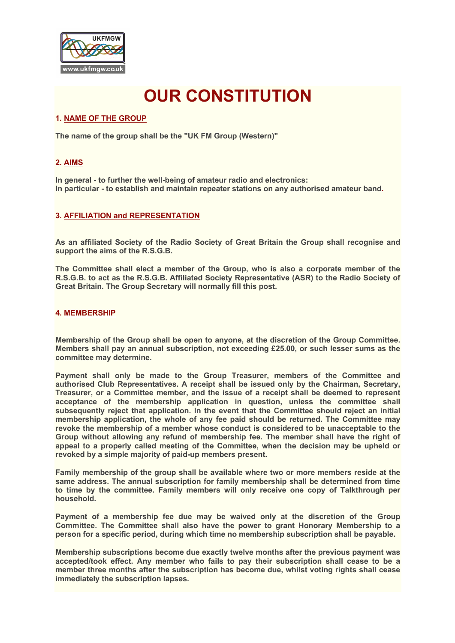

# **OUR CONSTITUTION**

## **1. NAME OF THE GROUP**

**The name of the group shall be the "UK FM Group (Western)"**

## **2. AIMS**

**In general - to further the well-being of amateur radio and electronics: In particular - to establish and maintain repeater stations on any authorised amateur band.**

#### **3. AFFILIATION and REPRESENTATION**

**As an affiliated Society of the Radio Society of Great Britain the Group shall recognise and support the aims of the R.S.G.B.**

**The Committee shall elect a member of the Group, who is also a corporate member of the R.S.G.B. to act as the R.S.G.B. Affiliated Society Representative (ASR) to the Radio Society of Great Britain. The Group Secretary will normally fill this post.**

## **4. MEMBERSHIP**

**Membership of the Group shall be open to anyone, at the discretion of the Group Committee. Members shall pay an annual subscription, not exceeding £25.00, or such lesser sums as the committee may determine.**

**Payment shall only be made to the Group Treasurer, members of the Committee and authorised Club Representatives. A receipt shall be issued only by the Chairman, Secretary, Treasurer, or a Committee member, and the issue of a receipt shall be deemed to represent acceptance of the membership application in question, unless the committee shall subsequently reject that application. In the event that the Committee should reject an initial membership application, the whole of any fee paid should be returned. The Committee may revoke the membership of a member whose conduct is considered to be unacceptable to the Group without allowing any refund of membership fee. The member shall have the right of appeal to a properly called meeting of the Committee, when the decision may be upheld or revoked by a simple majority of paid-up members present.**

**Family membership of the group shall be available where two or more members reside at the same address. The annual subscription for family membership shall be determined from time to time by the committee. Family members will only receive one copy of Talkthrough per household.**

**Payment of a membership fee due may be waived only at the discretion of the Group Committee. The Committee shall also have the power to grant Honorary Membership to a person for a specific period, during which time no membership subscription shall be payable.**

**Membership subscriptions become due exactly twelve months after the previous payment was accepted/took effect. Any member who fails to pay their subscription shall cease to be a member three months after the subscription has become due, whilst voting rights shall cease immediately the subscription lapses.**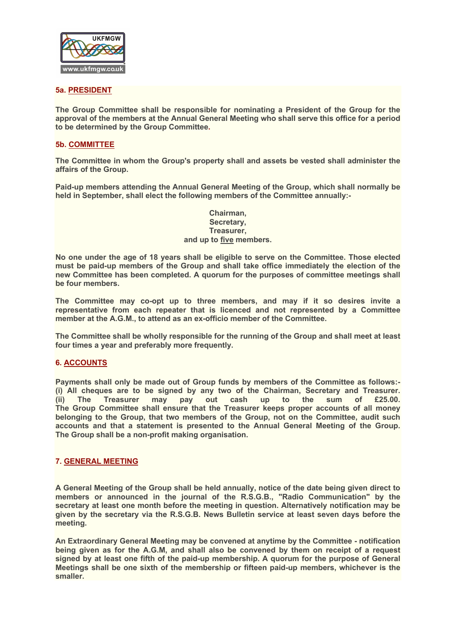

## **5a. PRESIDENT**

**The Group Committee shall be responsible for nominating a President of the Group for the approval of the members at the Annual General Meeting who shall serve this office for a period to be determined by the Group Committee.**

## **5b. COMMITTEE**

**The Committee in whom the Group's property shall and assets be vested shall administer the affairs of the Group.**

**Paid-up members attending the Annual General Meeting of the Group, which shall normally be held in September, shall elect the following members of the Committee annually:-**

> **Chairman, Secretary, Treasurer, and up to five members.**

**No one under the age of 18 years shall be eligible to serve on the Committee. Those elected must be paid-up members of the Group and shall take office immediately the election of the new Committee has been completed. A quorum for the purposes of committee meetings shall be four members.**

**The Committee may co-opt up to three members, and may if it so desires invite a representative from each repeater that is licenced and not represented by a Committee member at the A.G.M., to attend as an ex-officio member of the Committee.**

**The Committee shall be wholly responsible for the running of the Group and shall meet at least four times a year and preferably more frequently.**

#### **6. ACCOUNTS**

**Payments shall only be made out of Group funds by members of the Committee as follows:- (i) All cheques are to be signed by any two of the Chairman, Secretary and Treasurer. (ii) The Treasurer may pay out cash up to the sum of £25.00. The Group Committee shall ensure that the Treasurer keeps proper accounts of all money belonging to the Group, that two members of the Group, not on the Committee, audit such accounts and that a statement is presented to the Annual General Meeting of the Group. The Group shall be a non-profit making organisation.**

#### **7. GENERAL MEETING**

**A General Meeting of the Group shall be held annually, notice of the date being given direct to members or announced in the journal of the R.S.G.B., "Radio Communication" by the secretary at least one month before the meeting in question. Alternatively notification may be given by the secretary via the R.S.G.B. News Bulletin service at least seven days before the meeting.**

**An Extraordinary General Meeting may be convened at anytime by the Committee - notification being given as for the A.G.M, and shall also be convened by them on receipt of a request signed by at least one fifth of the paid-up membership. A quorum for the purpose of General Meetings shall be one sixth of the membership or fifteen paid-up members, whichever is the smaller.**